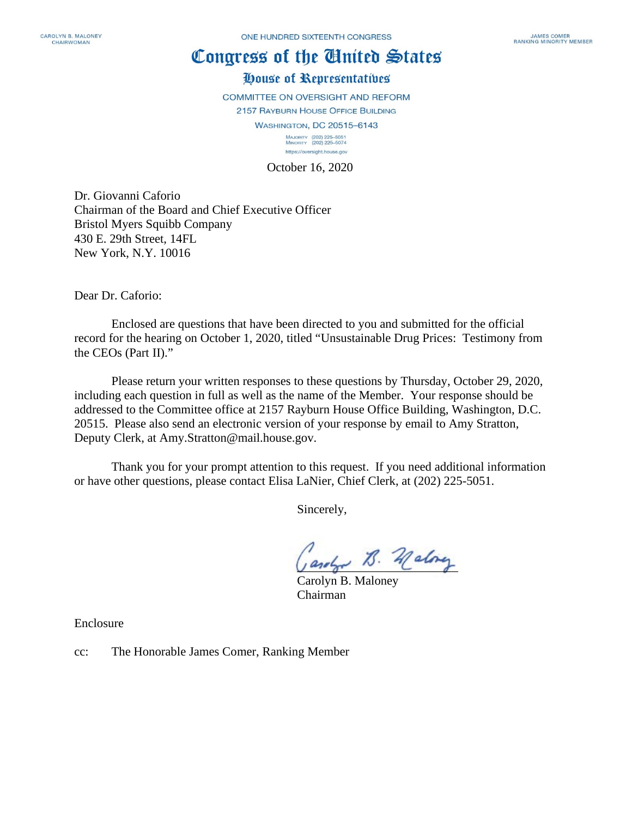## Congress of the Cinited States

## House of Representatives

COMMITTEE ON OVERSIGHT AND REFORM 2157 RAYBURN HOUSE OFFICE BUILDING **WASHINGTON, DC 20515-6143** MAJORITY (202) 225-5051<br>MINORITY (202) 225-5074 https://oversight.house.gov

October 16, 2020

Dr. Giovanni Caforio Chairman of the Board and Chief Executive Officer Bristol Myers Squibb Company 430 E. 29th Street, 14FL New York, N.Y. 10016

Dear Dr. Caforio:

Enclosed are questions that have been directed to you and submitted for the official record for the hearing on October 1, 2020, titled "Unsustainable Drug Prices: Testimony from the CEOs (Part II)."

Please return your written responses to these questions by Thursday, October 29, 2020, including each question in full as well as the name of the Member. Your response should be addressed to the Committee office at 2157 Rayburn House Office Building, Washington, D.C. 20515. Please also send an electronic version of your response by email to Amy Stratton, Deputy Clerk, at Amy.Stratton@mail.house.gov.

Thank you for your prompt attention to this request. If you need additional information or have other questions, please contact Elisa LaNier, Chief Clerk, at (202) 225-5051.

Sincerely,

 $U$  and  $V$ .  $U$  -

Carolyn B. Maloney Chairman

Enclosure

cc: The Honorable James Comer, Ranking Member